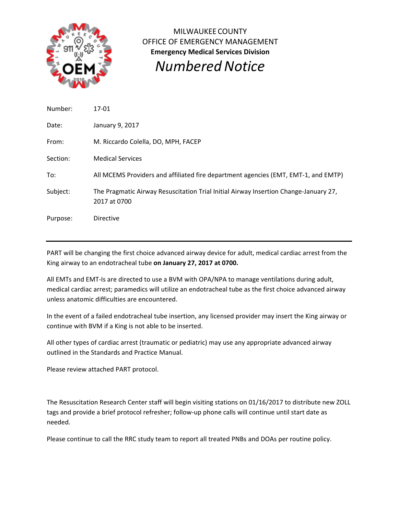

MILWAUKEE COUNTY OFFICE OF EMERGENCY MANAGEMENT **Emergency Medical Services Division** *NumberedNotice*

Number: 17‐01 Date: January 9, 2017 From: M. Riccardo Colella, DO, MPH, FACEP Section: Medical Services To: All MCEMS Providers and affiliated fire department agencies (EMT, EMT‐1, and EMTP) Subject: The Pragmatic Airway Resuscitation Trial Initial Airway Insertion Change‐January 27, 2017 at 0700 Purpose: Directive

PART will be changing the first choice advanced airway device for adult, medical cardiac arrest from the King airway to an endotracheal tube **on January 27, 2017 at 0700.**

All EMTs and EMT‐Is are directed to use a BVM with OPA/NPA to manage ventilations during adult, medical cardiac arrest; paramedics will utilize an endotracheal tube as the first choice advanced airway unless anatomic difficulties are encountered.

In the event of a failed endotracheal tube insertion, any licensed provider may insert the King airway or continue with BVM if a King is not able to be inserted.

All other types of cardiac arrest (traumatic or pediatric) may use any appropriate advanced airway outlined in the Standards and Practice Manual.

Please review attached PART protocol.

The Resuscitation Research Center staff will begin visiting stations on 01/16/2017 to distribute new ZOLL tags and provide a brief protocol refresher; follow‐up phone calls will continue until start date as needed.

Please continue to call the RRC study team to report all treated PNBs and DOAs per routine policy.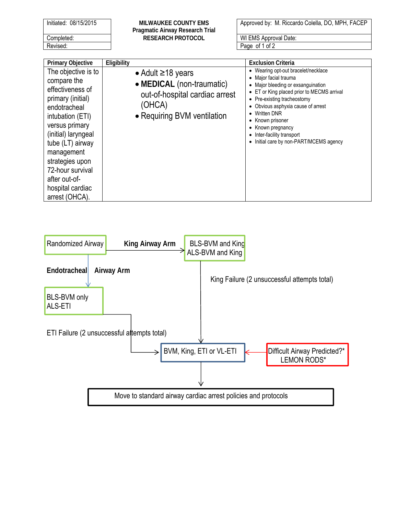|            | Initiated: 08/15/2015 |  |
|------------|-----------------------|--|
| Completed: |                       |  |
| Revised:   |                       |  |

**MILWAUKEE COUNTY EMS Pragmatic Airway Research Trial**  RESEARCH PROTOCOL **WI EMS Approval Date:** 

Approved by: M. Riccardo Colella, DO, MPH, FACEP

Page of 1 of 2

| <b>Primary Objective</b>                                                                                                                                                                                                                                                                 | Eligibility                                                                                                                     | <b>Exclusion Criteria</b>                                                                                                                                                                                                                                                                                                                                                                  |
|------------------------------------------------------------------------------------------------------------------------------------------------------------------------------------------------------------------------------------------------------------------------------------------|---------------------------------------------------------------------------------------------------------------------------------|--------------------------------------------------------------------------------------------------------------------------------------------------------------------------------------------------------------------------------------------------------------------------------------------------------------------------------------------------------------------------------------------|
| The objective is to<br>compare the<br>effectiveness of<br>primary (initial)<br>endotracheal<br>intubation (ETI)<br>versus primary<br>(initial) laryngeal<br>tube (LT) airway<br>management<br>strategies upon<br>72-hour survival<br>after out-of-<br>hospital cardiac<br>arrest (OHCA). | • Adult $\geq$ 18 years<br>• MEDICAL (non-traumatic)<br>out-of-hospital cardiac arrest<br>(OHCA)<br>• Requiring BVM ventilation | • Wearing opt-out bracelet/necklace<br>• Major facial trauma<br>• Major bleeding or exsanguination<br>• ET or King placed prior to MECMS arrival<br>• Pre-existing tracheostomy<br>Obvious asphyxia cause of arrest<br><b>Written DNR</b><br>$\bullet$<br>Known prisoner<br>$\bullet$<br>Known pregnancy<br>$\bullet$<br>Inter-facility transport<br>Initial care by non-PART/MCEMS agency |